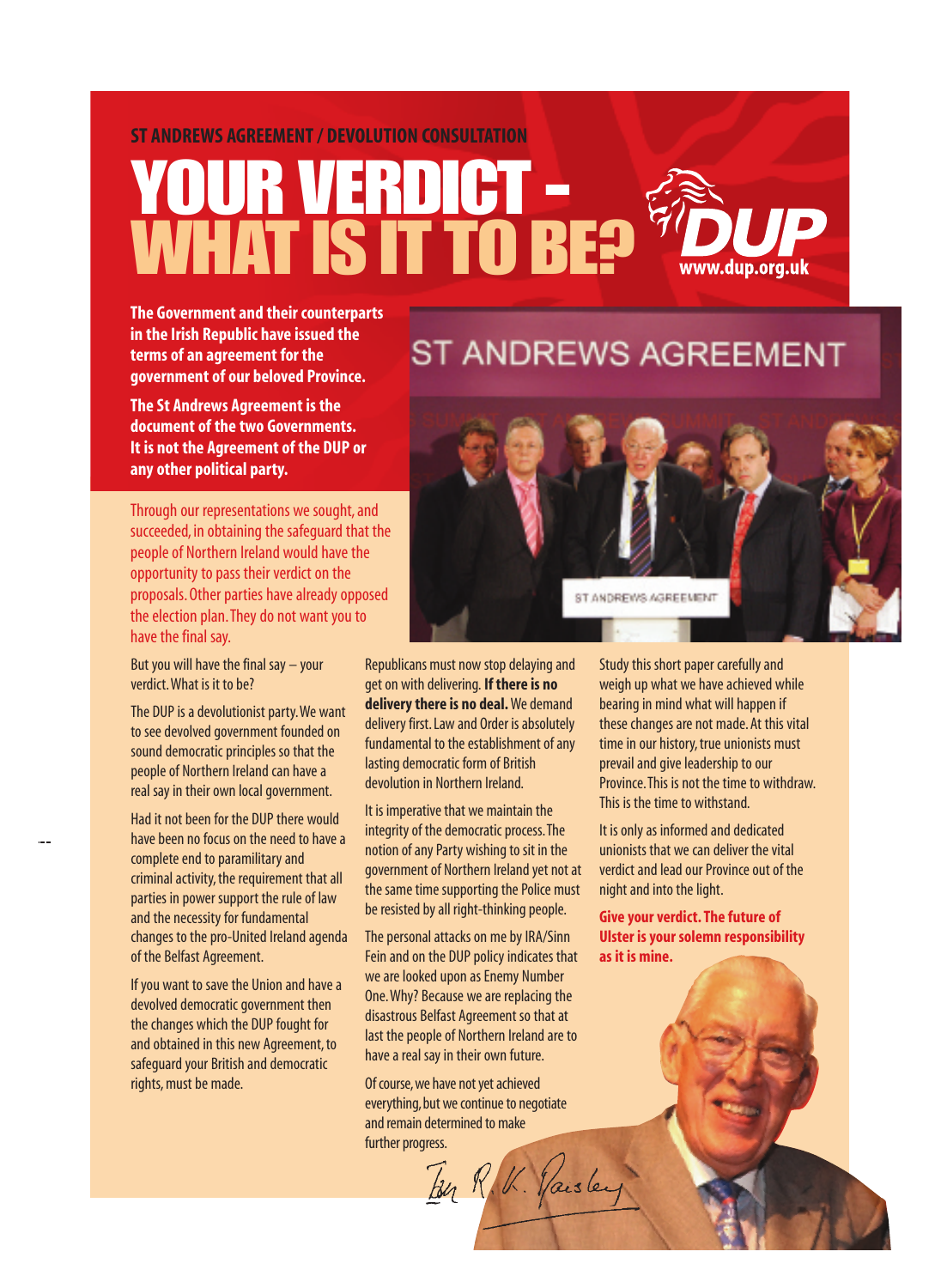#### **ST ANDREWS AGREEMENT / DEVOLUTION CONSULTATION**

# YOUR VERDICT - WHAT IS IT TO BE?



**The Government and their counterparts in the Irish Republic have issued the terms of an agreement for the government of our beloved Province.**

**The St Andrews Agreement is the document of the two Governments. It is not the Agreement of the DUP or any other political party.**

Through our representations we sought, and succeeded, in obtaining the safeguard that the people of Northern Ireland would have the opportunity to pass their verdict on the proposals. Other parties have already opposed the election plan.They do not want you to have the final say.

But you will have the final say – your verdict.What is it to be?

The DUP is a devolutionist party.We want to see devolved government founded on sound democratic principles so that the people of Northern Ireland can have a real say in their own local government.

Had it not been for the DUP there would have been no focus on the need to have a complete end to paramilitary and criminal activity, the requirement that all parties in power support the rule of law and the necessity for fundamental changes to the pro-United Ireland agenda of the Belfast Agreement.

If you want to save the Union and have a devolved democratic government then the changes which the DUP fought for and obtained in this new Agreement, to safeguard your British and democratic rights, must be made.

Republicans must now stop delaying and get on with delivering. **If there is no delivery there is no deal.**We demand delivery first. Law and Order is absolutely fundamental to the establishment of any lasting democratic form of British devolution in Northern Ireland.

It is imperative that we maintain the integrity of the democratic process.The notion of any Party wishing to sit in the government of Northern Ireland yet not at the same time supporting the Police must be resisted by all right-thinking people.

The personal attacks on me by IRA/Sinn Fein and on the DUP policy indicates that we are looked upon as Enemy Number One.Why? Because we are replacing the disastrous Belfast Agreement so that at last the people of Northern Ireland are to have a real say in their own future.

Of course, we have not yet achieved everything, but we continue to negotiate and remain determined to make further progress.

Ton R. V. Paisley

**ST ANDREWS AGREEMENT** 



Study this short paper carefully and weigh up what we have achieved while bearing in mind what will happen if these changes are not made. At this vital time in our history, true unionists must prevail and give leadership to our Province.This is not the time to withdraw. This is the time to withstand.

It is only as informed and dedicated unionists that we can deliver the vital verdict and lead our Province out of the night and into the light.

**Give your verdict. The future of Ulster is your solemn responsibility as it is mine.**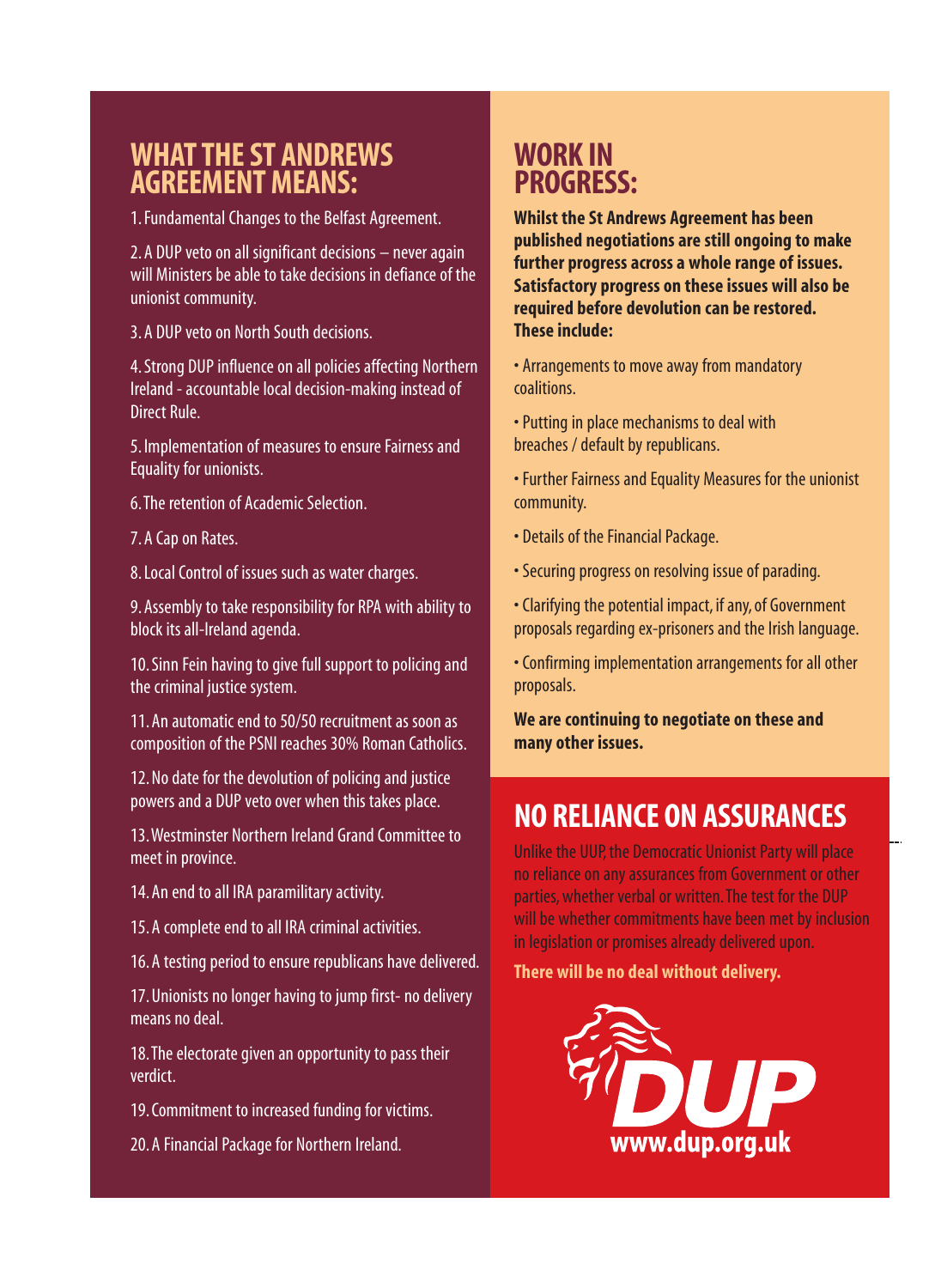## **WHAT THE ST ANDREWS AGREEMENT MEANS:**

1. Fundamental Changes to the Belfast Agreement.

2. A DUP veto on all significant decisions – never again will Ministers be able to take decisions in defiance of the unionist community.

3. A DUP veto on North South decisions.

4. Strong DUP influence on all policies affecting Northern Ireland - accountable local decision-making instead of Direct Rule.

5. Implementation of measures to ensure Fairness and Equality for unionists.

6.The retention of Academic Selection.

7. A Cap on Rates.

8. Local Control of issues such as water charges.

9. Assembly to take responsibility for RPA with ability to block its all-Ireland agenda.

10. Sinn Fein having to give full support to policing and the criminal justice system.

11. An automatic end to 50/50 recruitment as soon as composition of the PSNI reaches 30% Roman Catholics.

12. No date for the devolution of policing and justice powers and a DUP veto over when this takes place.

13.Westminster Northern Ireland Grand Committee to meet in province.

14. An end to all IRA paramilitary activity.

15. A complete end to all IRA criminal activities.

16. A testing period to ensure republicans have delivered.

17. Unionists no longer having to jump first- no delivery means no deal.

18.The electorate given an opportunity to pass their verdict.

19. Commitment to increased funding for victims.

20. A Financial Package for Northern Ireland.

## **WORK IN PROGRESS:**

**Whilst the St Andrews Agreement has been published negotiations are still ongoing to make further progress across a whole range of issues. Satisfactory progress on these issues will also be required before devolution can be restored. These include:**

• Arrangements to move away from mandatory coalitions.

- Putting in place mechanisms to deal with breaches / default by republicans.
- Further Fairness and Equality Measures for the unionist community.
- Details of the Financial Package.
- Securing progress on resolving issue of parading.
- Clarifying the potential impact, if any, of Government proposals regarding ex-prisoners and the Irish language.
- Confirming implementation arrangements for all other proposals.

**We are continuing to negotiate on these and many other issues.**

# **NO RELIANCE ON ASSURANCES**

Unlike the UUP, the Democratic Unionist Party will place no reliance on any assurances from Government or other parties, whether verbal or written.The test for the DUP will be whether commitments have been met by inclusion in legislation or promises already delivered upon.

### **There will be no deal without delivery.**

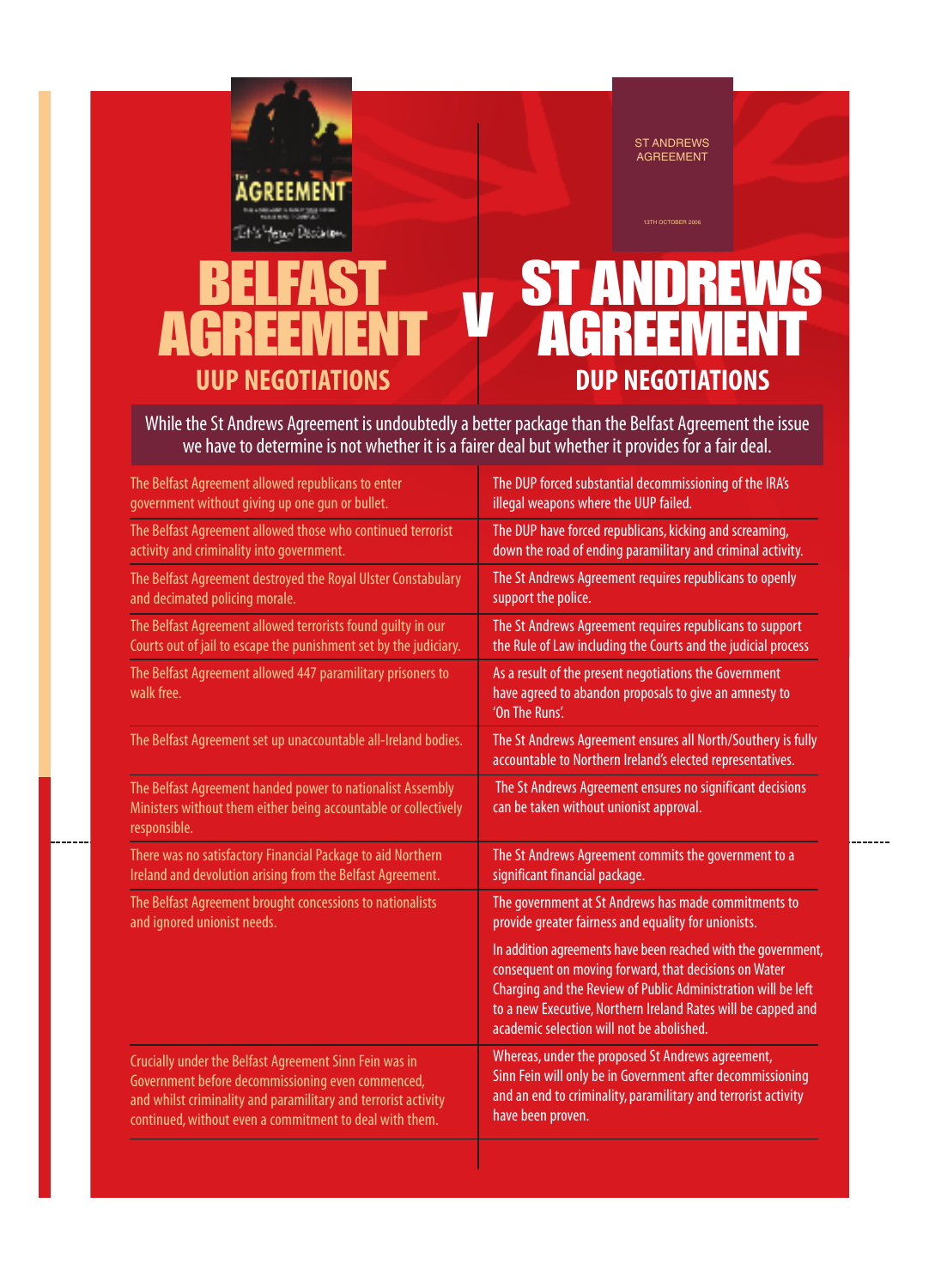

ST ANDREWS AGREEMENT

13TH OCTOBER 2006

## BELFAST AGREEMENT **ST ANDREWS** AGREEMENT **UUP NEGOTIATIONS DUP NEGOTIATIONS** V

While the St Andrews Agreement is undoubtedly a better package than the Belfast Agreement the issue we have to determine is not whether it is a fairer deal but whether it provides for a fair deal.

| The Belfast Agreement allowed republicans to enter                                                                                            | The DUP forced substantial decommissioning of the IRA's                                                                                                                                                                                                                                               |
|-----------------------------------------------------------------------------------------------------------------------------------------------|-------------------------------------------------------------------------------------------------------------------------------------------------------------------------------------------------------------------------------------------------------------------------------------------------------|
| government without giving up one gun or bullet.                                                                                               | illegal weapons where the UUP failed.                                                                                                                                                                                                                                                                 |
| The Belfast Agreement allowed those who continued terrorist                                                                                   | The DUP have forced republicans, kicking and screaming,                                                                                                                                                                                                                                               |
| activity and criminality into government.                                                                                                     | down the road of ending paramilitary and criminal activity.                                                                                                                                                                                                                                           |
| The Belfast Agreement destroyed the Royal Ulster Constabulary                                                                                 | The St Andrews Agreement requires republicans to openly                                                                                                                                                                                                                                               |
| and decimated policing morale.                                                                                                                | support the police.                                                                                                                                                                                                                                                                                   |
| The Belfast Agreement allowed terrorists found guilty in our                                                                                  | The St Andrews Agreement requires republicans to support                                                                                                                                                                                                                                              |
| Courts out of jail to escape the punishment set by the judiciary.                                                                             | the Rule of Law including the Courts and the judicial process                                                                                                                                                                                                                                         |
| The Belfast Agreement allowed 447 paramilitary prisoners to<br>walk free.                                                                     | As a result of the present negotiations the Government<br>have agreed to abandon proposals to give an amnesty to<br>'On The Runs'.                                                                                                                                                                    |
| The Belfast Agreement set up unaccountable all-Ireland bodies.                                                                                | The St Andrews Agreement ensures all North/Southery is fully<br>accountable to Northern Ireland's elected representatives.                                                                                                                                                                            |
| The Belfast Agreement handed power to nationalist Assembly<br>Ministers without them either being accountable or collectively<br>responsible. | The St Andrews Agreement ensures no significant decisions<br>can be taken without unionist approval.                                                                                                                                                                                                  |
| There was no satisfactory Financial Package to aid Northern                                                                                   | The St Andrews Agreement commits the government to a                                                                                                                                                                                                                                                  |
| Ireland and devolution arising from the Belfast Agreement.                                                                                    | significant financial package.                                                                                                                                                                                                                                                                        |
| The Belfast Agreement brought concessions to nationalists<br>and ignored unionist needs.                                                      | The government at St Andrews has made commitments to<br>provide greater fairness and equality for unionists.                                                                                                                                                                                          |
|                                                                                                                                               | In addition agreements have been reached with the government,<br>consequent on moving forward, that decisions on Water<br>Charging and the Review of Public Administration will be left<br>to a new Executive, Northern Ireland Rates will be capped and<br>academic selection will not be abolished. |
| Crucially under the Belfast Agreement Sinn Fein was in                                                                                        | Whereas, under the proposed St Andrews agreement,                                                                                                                                                                                                                                                     |
| Government before decommissioning even commenced,                                                                                             | Sinn Fein will only be in Government after decommissioning                                                                                                                                                                                                                                            |
| and whilst criminality and paramilitary and terrorist activity                                                                                | and an end to criminality, paramilitary and terrorist activity                                                                                                                                                                                                                                        |
| continued, without even a commitment to deal with them.                                                                                       | have been proven.                                                                                                                                                                                                                                                                                     |